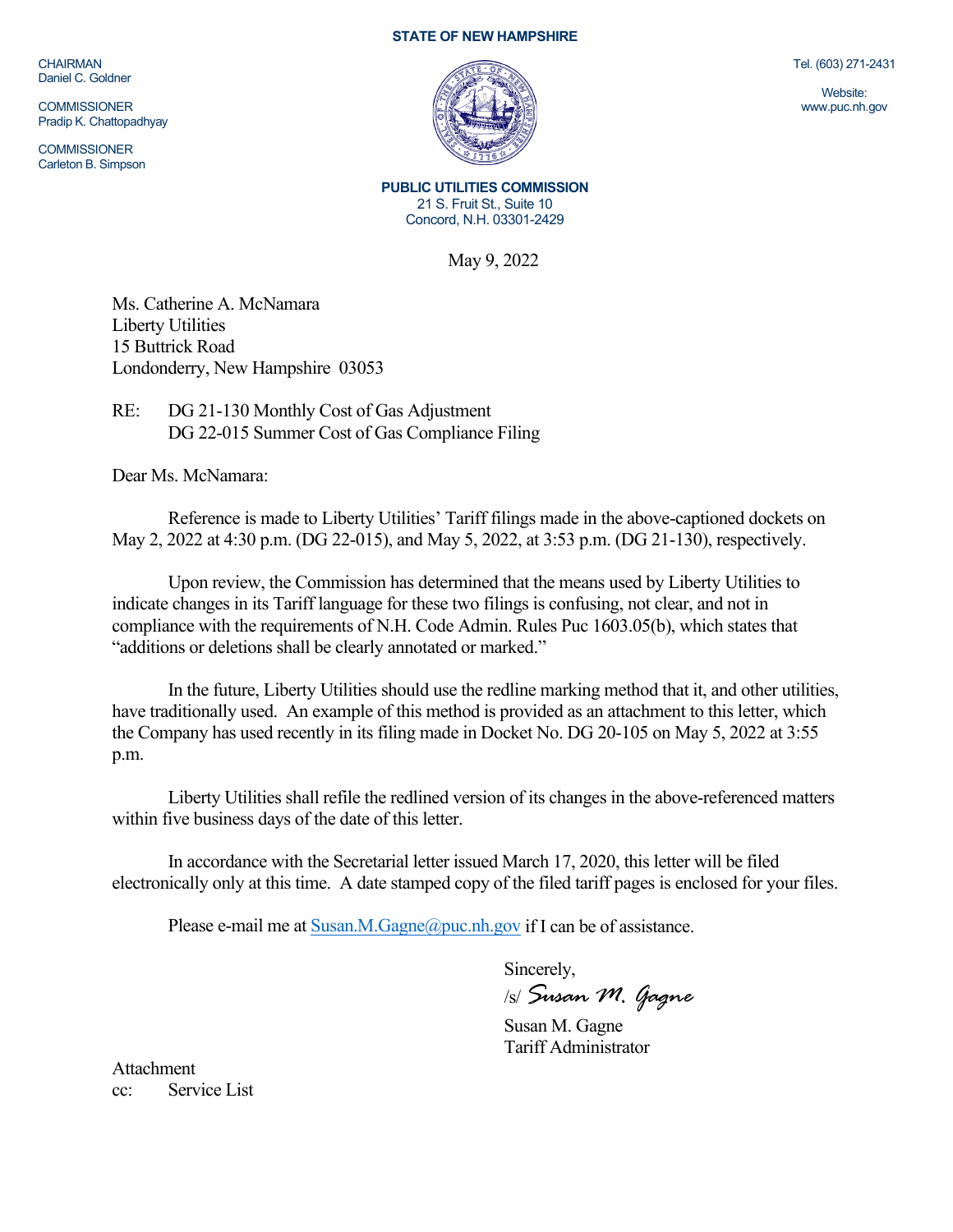CHAIRMAN Daniel C. Goldner

**COMMISSIONER** Pradip K. Chattopadhyay

**COMMISSIONER** Carleton B. Simpson

### **STATE OF NEW HAMPSHIRE**



Tel. (603) 271-2431

Website: www.puc.nh.gov

**PUBLIC UTILITIES COMMISSION** 21 S. Fruit St., Suite 10 Concord, N.H. 03301-2429

May 9, 2022

Ms. Catherine A. McNamara Liberty Utilities 15 Buttrick Road Londonderry, New Hampshire 03053

# RE: DG 21-130 Monthly Cost of Gas Adjustment DG 22-015 Summer Cost of Gas Compliance Filing

Dear Ms. McNamara:

Reference is made to Liberty Utilities' Tariff filings made in the above-captioned dockets on May 2, 2022 at 4:30 p.m. (DG 22-015), and May 5, 2022, at 3:53 p.m. (DG 21-130), respectively.

Upon review, the Commission has determined that the means used by Liberty Utilities to indicate changes in its Tariff language for these two filings is confusing, not clear, and not in compliance with the requirements of N.H. Code Admin. Rules Puc 1603.05(b), which states that "additions or deletions shall be clearly annotated or marked."

In the future, Liberty Utilities should use the redline marking method that it, and other utilities, have traditionally used. An example of this method is provided as an attachment to this letter, which the Company has used recently in its filing made in Docket No. DG 20-105 on May 5, 2022 at 3:55 p.m.

Liberty Utilities shall refile the redlined version of its changes in the above-referenced matters within five business days of the date of this letter.

In accordance with the Secretarial letter issued March 17, 2020, this letter will be filed electronically only at this time. A date stamped copy of the filed tariff pages is enclosed for your files.

Please e-mail me a[t Susan.M.Gagne@puc.nh.gov](mailto:Susan.M.Gagne@puc.nh.gov) if I can be of assistance.

Sincerely,

/s/ *Susan M. Gagne*

Susan M. Gagne Tariff Administrator

Attachment cc: Service List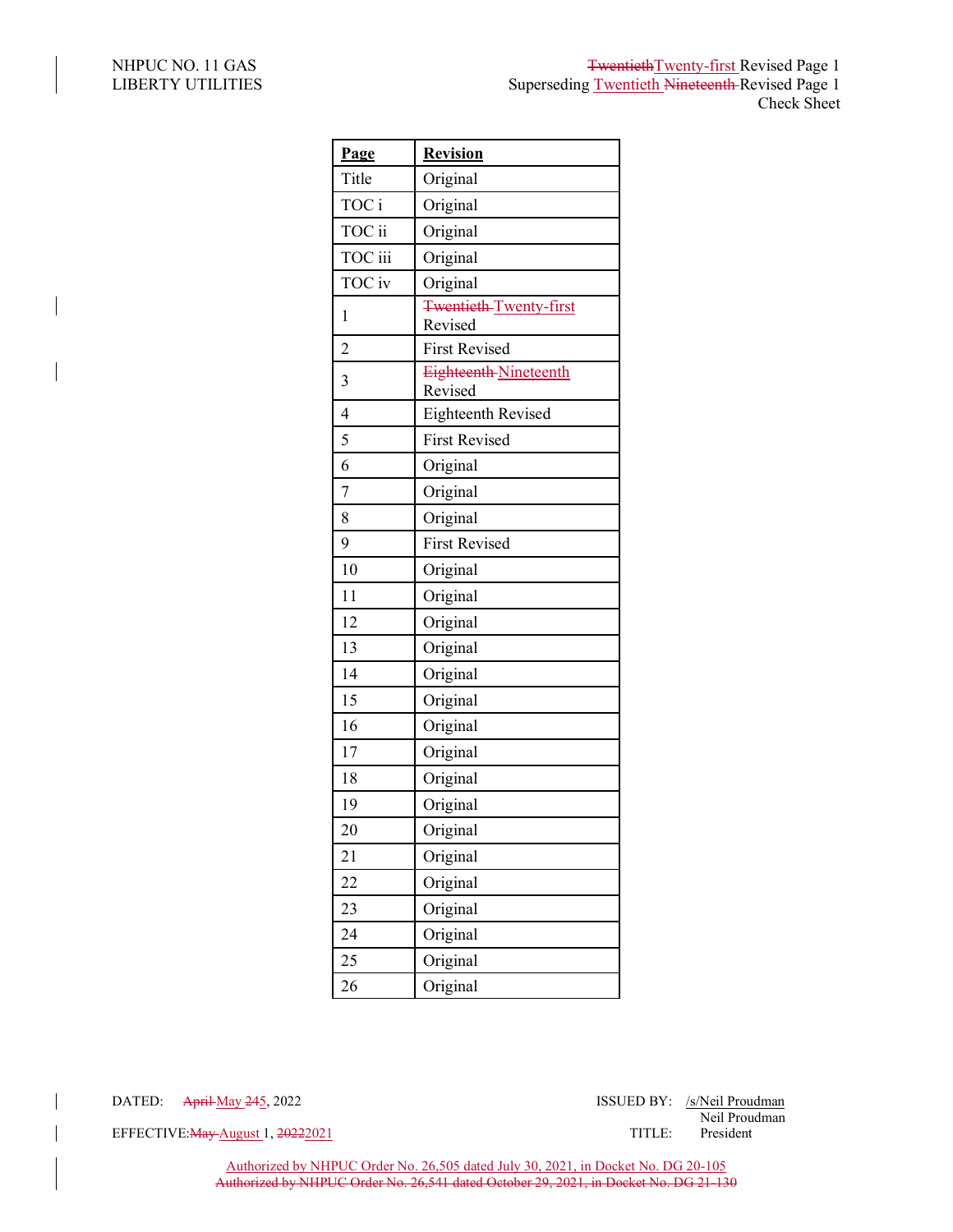$\overline{\phantom{a}}$ 

 $\overline{\phantom{a}}$ 

| Page           | <b>Revision</b>                   |
|----------------|-----------------------------------|
| Title          | Original                          |
| TOC i          | Original                          |
| TOC ii         | Original                          |
| TOC iii        | Original                          |
| TOC iv         | Original                          |
| $\mathbf{1}$   | Twentieth Twenty-first<br>Revised |
| $\overline{c}$ | <b>First Revised</b>              |
| 3              | Eighteenth-Nineteenth<br>Revised  |
| $\overline{4}$ | Eighteenth Revised                |
| 5              | <b>First Revised</b>              |
| 6              | Original                          |
| 7              | Original                          |
| 8              | Original                          |
| 9              | <b>First Revised</b>              |
| 10             | Original                          |
| 11             | Original                          |
| 12             | Original                          |
| 13             | Original                          |
| 14             | Original                          |
| 15             | Original                          |
| 16             | Original                          |
| 17             | Original                          |
| 18             | Original                          |
| 19             | Original                          |
| 20             | Original                          |
| 21             | Original                          |
| 22             | Original                          |
| 23             | Original                          |
| 24             | Original                          |
| 25             | Original                          |
| 26             | Original                          |

EFFECTIVE: May August 1, 20222021 TITLE: President

Authorized by NHPUC Order No. 26,505 dated July 30, 2021, in Docket No. DG 20-105 Authorized by NHPUC Order No. 26,541 dated October 29, 2021, in Docket No. DG 21-130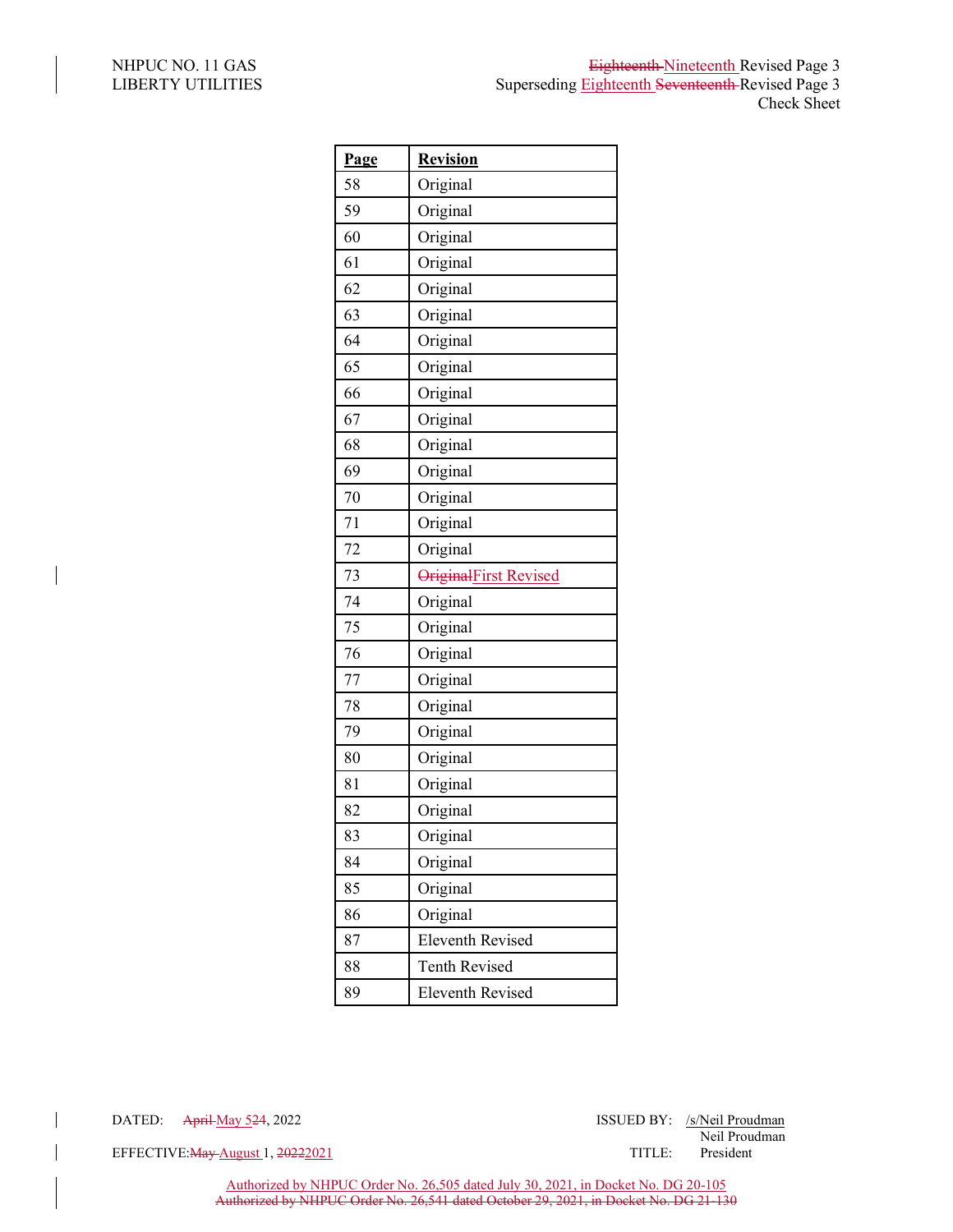$\overline{\phantom{a}}$ 

 $\overline{\phantom{a}}$ 

| <b>Page</b> | <b>Revision</b>         |
|-------------|-------------------------|
| 58          | Original                |
| 59          | Original                |
| 60          | Original                |
| 61          | Original                |
| 62          | Original                |
| 63          | Original                |
| 64          | Original                |
| 65          | Original                |
| 66          | Original                |
| 67          | Original                |
| 68          | Original                |
| 69          | Original                |
| 70          | Original                |
| 71          | Original                |
| 72          | Original                |
| 73          | OriginalFirst Revised   |
| 74          | Original                |
| 75          | Original                |
| 76          | Original                |
| 77          | Original                |
| 78          | Original                |
| 79          | Original                |
| 80          | Original                |
| 81          | Original                |
| 82          | Original                |
| 83          | Original                |
| 84          | Original                |
| 85          | Original                |
| 86          | Original                |
| 87          | <b>Eleventh Revised</b> |
| 88          | <b>Tenth Revised</b>    |
| 89          | <b>Eleventh Revised</b> |

DATED: April May 524, 2022 ISSUED BY: /s/Neil Proudman Neil Proudman

EFFECTIVE: May August 1, 20222021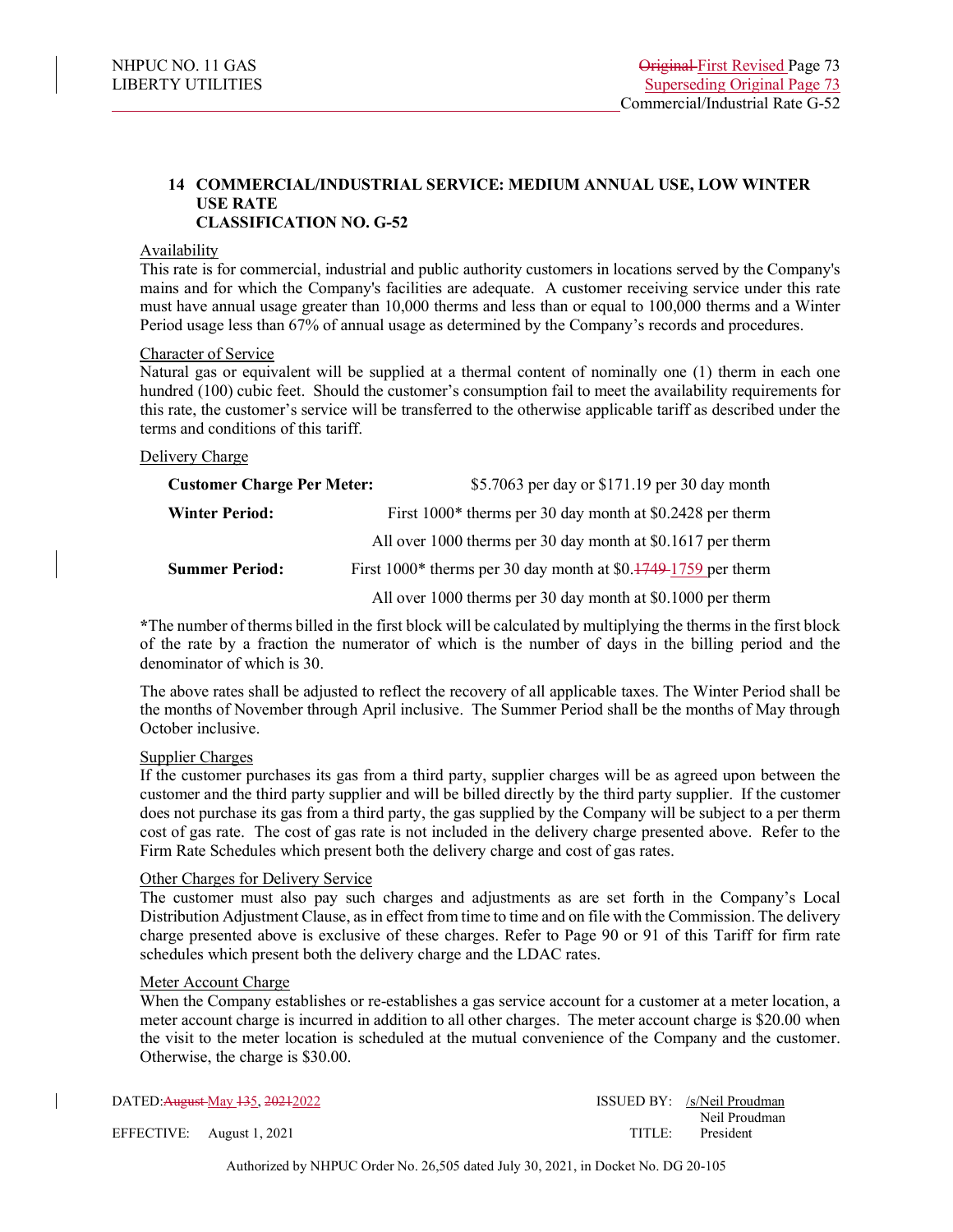# **14 COMMERCIAL/INDUSTRIAL SERVICE: MEDIUM ANNUAL USE, LOW WINTER USE RATE CLASSIFICATION NO. G-52**

#### Availability

This rate is for commercial, industrial and public authority customers in locations served by the Company's mains and for which the Company's facilities are adequate. A customer receiving service under this rate must have annual usage greater than 10,000 therms and less than or equal to 100,000 therms and a Winter Period usage less than 67% of annual usage as determined by the Company's records and procedures.

#### Character of Service

Natural gas or equivalent will be supplied at a thermal content of nominally one (1) therm in each one hundred (100) cubic feet. Should the customer's consumption fail to meet the availability requirements for this rate, the customer's service will be transferred to the otherwise applicable tariff as described under the terms and conditions of this tariff.

### Delivery Charge

| <b>Customer Charge Per Meter:</b> | \$5.7063 per day or \$171.19 per 30 day month                    |
|-----------------------------------|------------------------------------------------------------------|
| <b>Winter Period:</b>             | First $1000*$ therms per 30 day month at \$0.2428 per therm      |
|                                   | All over 1000 therms per 30 day month at \$0.1617 per therm      |
| <b>Summer Period:</b>             | First $1000*$ therms per 30 day month at \$0.1749-1759 per therm |
|                                   | All over 1000 therms per 30 day month at \$0.1000 per therm      |

**\***The number of therms billed in the first block will be calculated by multiplying the therms in the first block of the rate by a fraction the numerator of which is the number of days in the billing period and the denominator of which is 30.

The above rates shall be adjusted to reflect the recovery of all applicable taxes. The Winter Period shall be the months of November through April inclusive. The Summer Period shall be the months of May through October inclusive.

#### Supplier Charges

If the customer purchases its gas from a third party, supplier charges will be as agreed upon between the customer and the third party supplier and will be billed directly by the third party supplier. If the customer does not purchase its gas from a third party, the gas supplied by the Company will be subject to a per therm cost of gas rate. The cost of gas rate is not included in the delivery charge presented above. Refer to the Firm Rate Schedules which present both the delivery charge and cost of gas rates.

#### Other Charges for Delivery Service

The customer must also pay such charges and adjustments as are set forth in the Company's Local Distribution Adjustment Clause, as in effect from time to time and on file with the Commission. The delivery charge presented above is exclusive of these charges. Refer to Page 90 or 91 of this Tariff for firm rate schedules which present both the delivery charge and the LDAC rates.

# Meter Account Charge

When the Company establishes or re-establishes a gas service account for a customer at a meter location, a meter account charge is incurred in addition to all other charges. The meter account charge is \$20.00 when the visit to the meter location is scheduled at the mutual convenience of the Company and the customer. Otherwise, the charge is \$30.00.

DATED: August May 135, 2021 2022 1992 12:30 13SUED BY: /s/Neil Proudman Neil Proudman EFFECTIVE: August 1, 2021 TITLE: President

Authorized by NHPUC Order No. 26,505 dated July 30, 2021, in Docket No. DG 20-105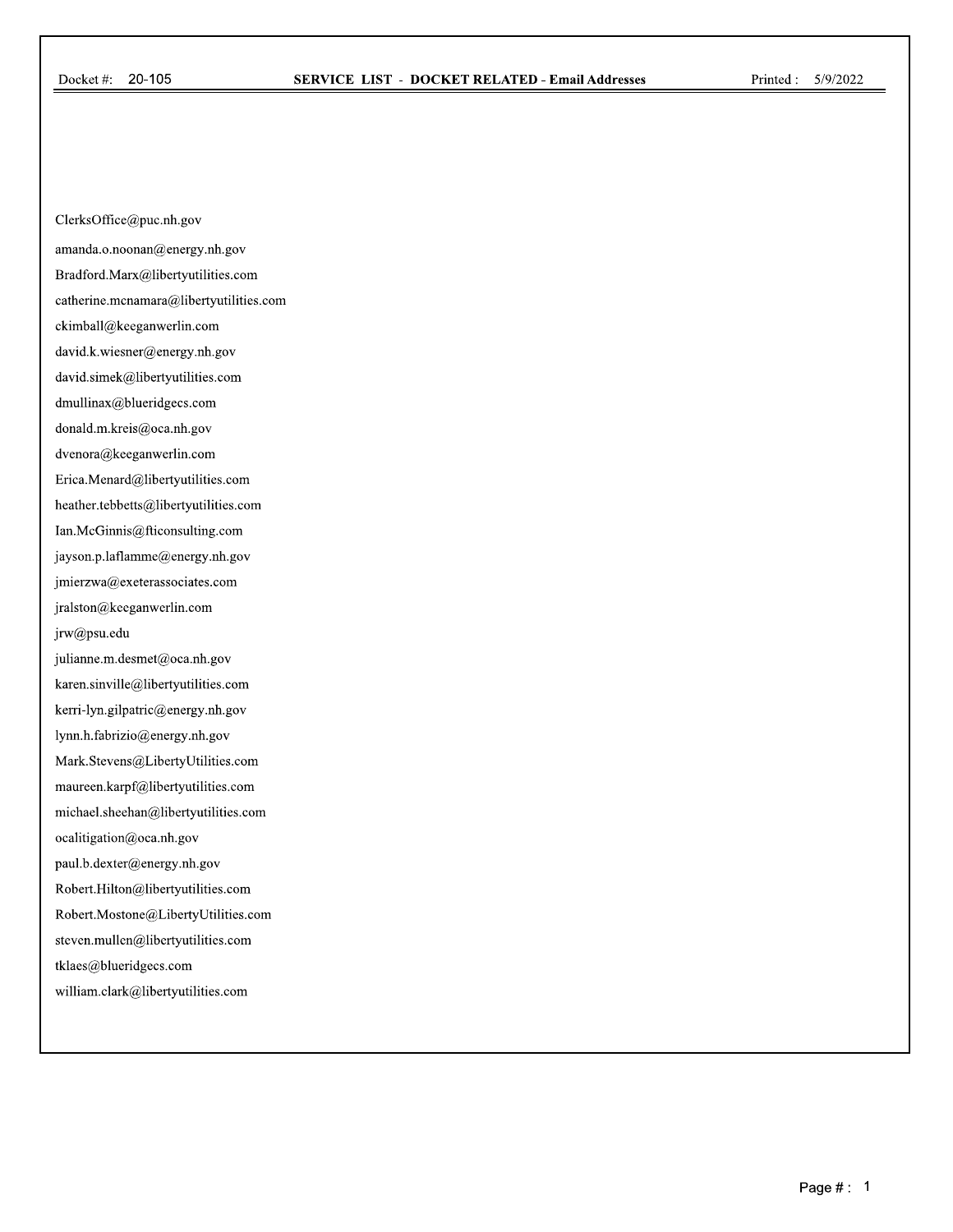ClerksOffice@puc.nh.gov

amanda.o.noonan@energy.nh.gov

Bradford.Marx@libertyutilities.com

catherine.mcnamara@libertyutilities.com

ckimball@keeganwerlin.com

david.k.wiesner@energy.nh.gov

david.simek@libertyutilities.com

dmullinax@blueridgecs.com

donald.m.kreis@oca.nh.gov

dvenora@keeganwerlin.com

Erica.Menard@libertyutilities.com

heather. tebbetts@libertyutilities.com

Ian.McGinnis@fticonsulting.com

jayson.p.laflamme@energy.nh.gov

jmierzwa@exeterassociates.com

jralston@keeganwerlin.com

jrw@psu.edu

julianne.m.desmet@oca.nh.gov

karen.sinville@libertyutilities.com

kerri-lyn.gilpatric@energy.nh.gov

lynn.h.fabrizio@energy.nh.gov

Mark. Stevens@LibertyUtilities.com

maureen.karpf@libertyutilities.com

michael.sheehan@libertyutilities.com

ocalitigation@oca.nh.gov

paul.b.dexter@energy.nh.gov

Robert.Hilton@libertyutilities.com

Robert.Mostone@LibertyUtilities.com

steven.mullen@libertyutilities.com

tklaes@blueridgecs.com

william.clark@libertyutilities.com